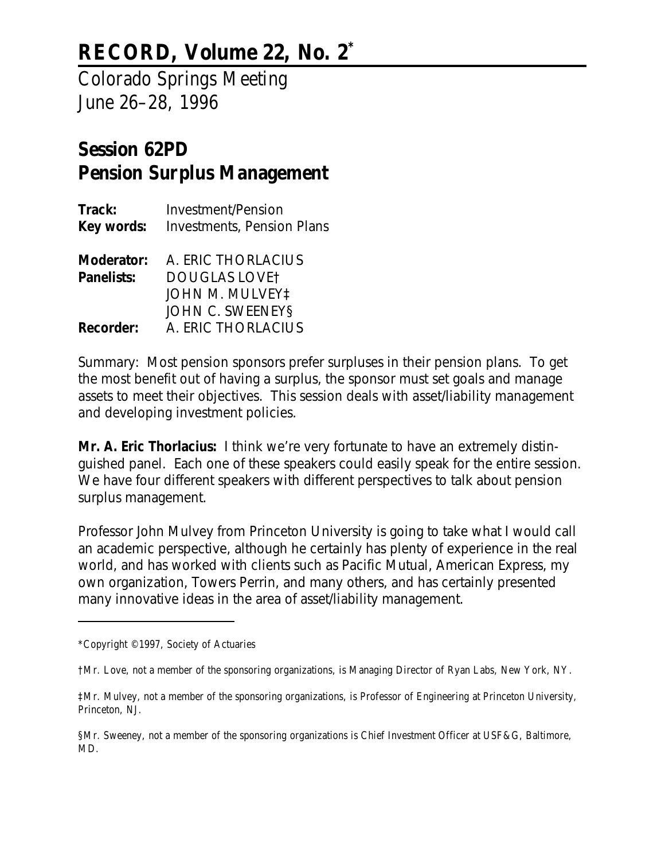# **RECORD, Volume 22, No. 2\***

Colorado Springs Meeting June 26–28, 1996

# **Session 62PD Pension Surplus Management**

| <b>Investment/Pension</b>         |
|-----------------------------------|
| <b>Investments, Pension Plans</b> |
|                                   |
| Moderator: A. ERIC THORLACIUS     |
| <b>DOUGLAS LOVET</b>              |
| <b>JOHN M. MULVEY!</b>            |
| JOHN C. SWEENEYS                  |
| A. ERIC THORLACIUS                |
|                                   |

*Summary: Most pension sponsors prefer surpluses in their pension plans. To get the most benefit out of having a surplus, the sponsor must set goals and manage assets to meet their objectives. This session deals with asset/liability management and developing investment policies.*

**Mr. A. Eric Thorlacius:** I think we're very fortunate to have an extremely distinguished panel. Each one of these speakers could easily speak for the entire session. We have four different speakers with different perspectives to talk about pension surplus management.

Professor John Mulvey from Princeton University is going to take what I would call an academic perspective, although he certainly has plenty of experience in the real world, and has worked with clients such as Pacific Mutual, American Express, my own organization, Towers Perrin, and many others, and has certainly presented many innovative ideas in the area of asset/liability management.

<sup>\*</sup>Copyright © 1997, Society of Actuaries

<sup>†</sup>Mr. Love, not a member of the sponsoring organizations, is Managing Director of Ryan Labs, New York, NY.

<sup>‡</sup>Mr. Mulvey, not a member of the sponsoring organizations, is Professor of Engineering at Princeton University, Princeton, NJ.

<sup>§</sup>Mr. Sweeney, not a member of the sponsoring organizations is Chief Investment Officer at USF&G, Baltimore, MD.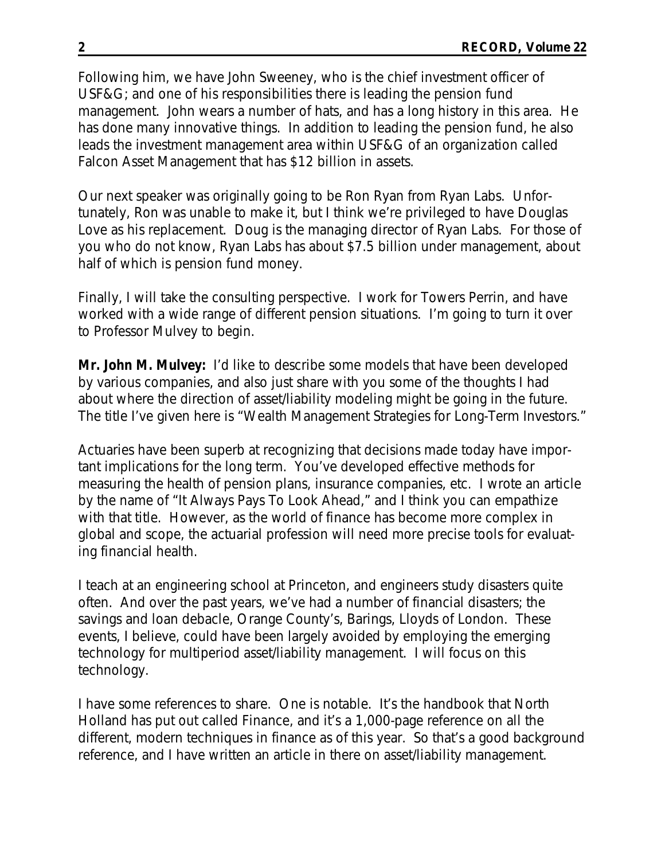Following him, we have John Sweeney, who is the chief investment officer of USF&G; and one of his responsibilities there is leading the pension fund management. John wears a number of hats, and has a long history in this area. He has done many innovative things. In addition to leading the pension fund, he also leads the investment management area within USF&G of an organization called Falcon Asset Management that has \$12 billion in assets.

Our next speaker was originally going to be Ron Ryan from Ryan Labs. Unfortunately, Ron was unable to make it, but I think we're privileged to have Douglas Love as his replacement. Doug is the managing director of Ryan Labs. For those of you who do not know, Ryan Labs has about \$7.5 billion under management, about half of which is pension fund money.

Finally, I will take the consulting perspective. I work for Towers Perrin, and have worked with a wide range of different pension situations. I'm going to turn it over to Professor Mulvey to begin.

**Mr. John M. Mulvey:** I'd like to describe some models that have been developed by various companies, and also just share with you some of the thoughts I had about where the direction of asset/liability modeling might be going in the future. The title I've given here is "Wealth Management Strategies for Long-Term Investors."

Actuaries have been superb at recognizing that decisions made today have important implications for the long term. You've developed effective methods for measuring the health of pension plans, insurance companies, etc. I wrote an article by the name of "It Always Pays To Look Ahead," and I think you can empathize with that title. However, as the world of finance has become more complex in global and scope, the actuarial profession will need more precise tools for evaluating financial health.

I teach at an engineering school at Princeton, and engineers study disasters quite often. And over the past years, we've had a number of financial disasters; the savings and loan debacle, Orange County's, Barings, Lloyds of London. These events, I believe, could have been largely avoided by employing the emerging technology for multiperiod asset/liability management. I will focus on this technology.

I have some references to share. One is notable. It's the handbook that North Holland has put out called *Finance,* and it's a 1,000-page reference on all the different, modern techniques in finance as of this year. So that's a good background reference, and I have written an article in there on asset/liability management.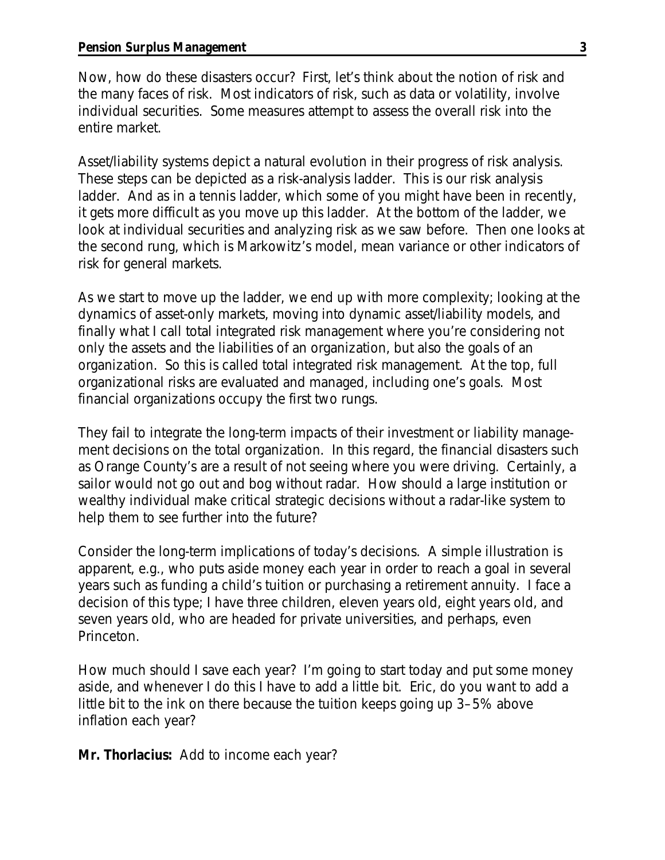Now, how do these disasters occur? First, let's think about the notion of risk and the many faces of risk. Most indicators of risk, such as data or volatility, involve individual securities. Some measures attempt to assess the overall risk into the entire market.

Asset/liability systems depict a natural evolution in their progress of risk analysis. These steps can be depicted as a risk-analysis ladder. This is our risk analysis ladder. And as in a tennis ladder, which some of you might have been in recently, it gets more difficult as you move up this ladder. At the bottom of the ladder, we look at individual securities and analyzing risk as we saw before. Then one looks at the second rung, which is Markowitz's model, mean variance or other indicators of risk for general markets.

As we start to move up the ladder, we end up with more complexity; looking at the dynamics of asset-only markets, moving into dynamic asset/liability models, and finally what I call total integrated risk management where you're considering not only the assets and the liabilities of an organization, but also the goals of an organization. So this is called total integrated risk management. At the top, full organizational risks are evaluated and managed, including one's goals. Most financial organizations occupy the first two rungs.

They fail to integrate the long-term impacts of their investment or liability management decisions on the total organization. In this regard, the financial disasters such as Orange County's are a result of not seeing where you were driving. Certainly, a sailor would not go out and bog without radar. How should a large institution or wealthy individual make critical strategic decisions without a radar-like system to help them to see further into the future?

Consider the long-term implications of today's decisions. A simple illustration is apparent, e.g., who puts aside money each year in order to reach a goal in several years such as funding a child's tuition or purchasing a retirement annuity. I face a decision of this type; I have three children, eleven years old, eight years old, and seven years old, who are headed for private universities, and perhaps, even Princeton.

How much should I save each year? I'm going to start today and put some money aside, and whenever I do this I have to add a little bit. Eric, do you want to add a little bit to the ink on there because the tuition keeps going up 3–5% above inflation each year?

**Mr. Thorlacius:** Add to income each year?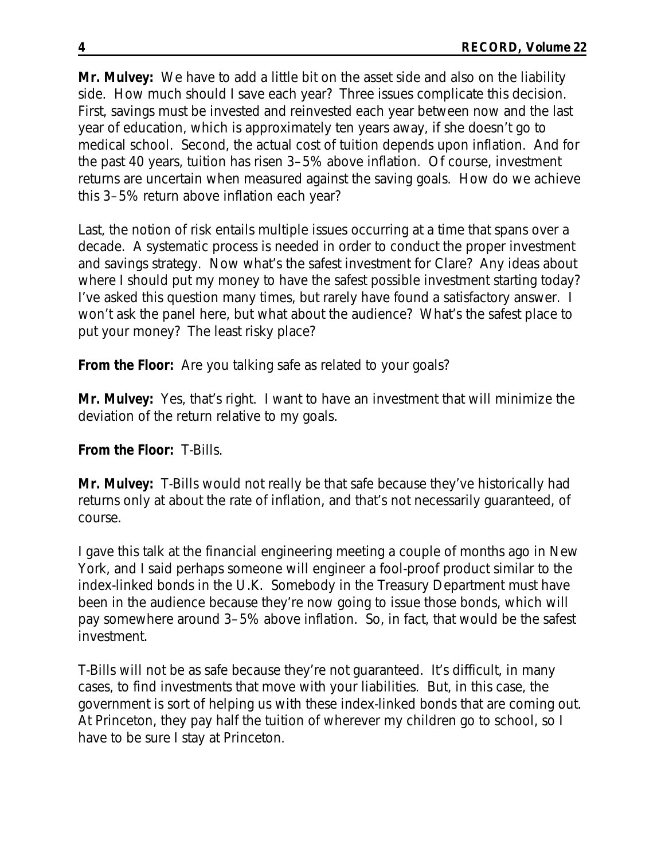**Mr. Mulvey:** We have to add a little bit on the asset side and also on the liability side. How much should I save each year? Three issues complicate this decision. First, savings must be invested and reinvested each year between now and the last year of education, which is approximately ten years away, if she doesn't go to medical school. Second, the actual cost of tuition depends upon inflation. And for the past 40 years, tuition has risen 3–5% above inflation. Of course, investment returns are uncertain when measured against the saving goals. How do we achieve this 3–5% return above inflation each year?

Last, the notion of risk entails multiple issues occurring at a time that spans over a decade. A systematic process is needed in order to conduct the proper investment and savings strategy. Now what's the safest investment for Clare? Any ideas about where I should put my money to have the safest possible investment starting today? I've asked this question many times, but rarely have found a satisfactory answer. I won't ask the panel here, but what about the audience? What's the safest place to put your money? The least risky place?

**From the Floor:** Are you talking safe as related to your goals?

**Mr. Mulvey:** Yes, that's right. I want to have an investment that will minimize the deviation of the return relative to my goals.

# **From the Floor:** T-Bills.

**Mr. Mulvey:** T-Bills would not really be that safe because they've historically had returns only at about the rate of inflation, and that's not necessarily guaranteed, of course.

I gave this talk at the financial engineering meeting a couple of months ago in New York, and I said perhaps someone will engineer a fool-proof product similar to the index-linked bonds in the U.K. Somebody in the Treasury Department must have been in the audience because they're now going to issue those bonds, which will pay somewhere around 3–5% above inflation. So, in fact, that would be the safest investment.

T-Bills will not be as safe because they're not guaranteed. It's difficult, in many cases, to find investments that move with your liabilities. But, in this case, the government is sort of helping us with these index-linked bonds that are coming out. At Princeton, they pay half the tuition of wherever my children go to school, so I have to be sure I stay at Princeton.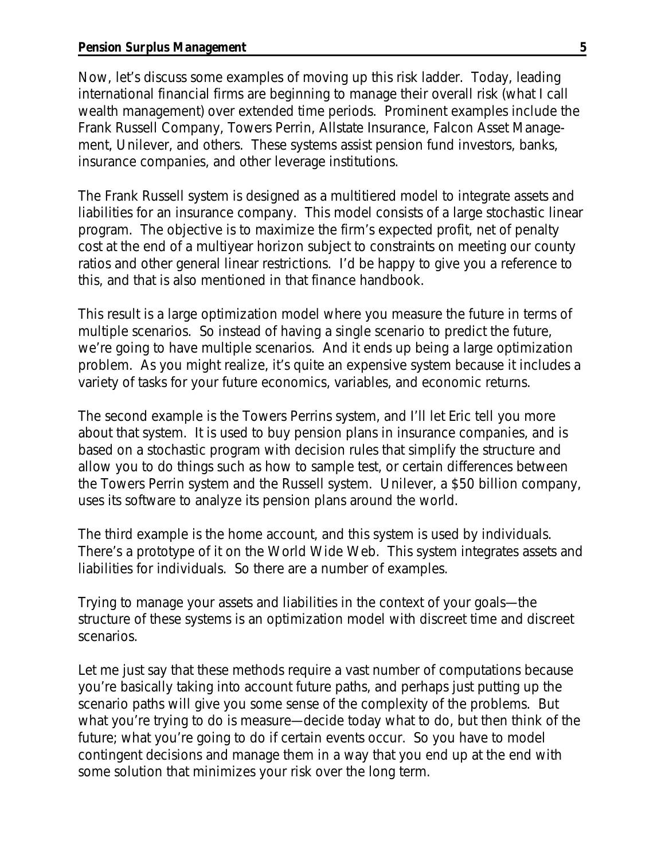Now, let's discuss some examples of moving up this risk ladder. Today, leading international financial firms are beginning to manage their overall risk (what I call wealth management) over extended time periods. Prominent examples include the Frank Russell Company, Towers Perrin, Allstate Insurance, Falcon Asset Management, Unilever, and others. These systems assist pension fund investors, banks, insurance companies, and other leverage institutions.

The Frank Russell system is designed as a multitiered model to integrate assets and liabilities for an insurance company. This model consists of a large stochastic linear program. The objective is to maximize the firm's expected profit, net of penalty cost at the end of a multiyear horizon subject to constraints on meeting our county ratios and other general linear restrictions. I'd be happy to give you a reference to this, and that is also mentioned in that finance handbook.

This result is a large optimization model where you measure the future in terms of multiple scenarios. So instead of having a single scenario to predict the future, we're going to have multiple scenarios. And it ends up being a large optimization problem. As you might realize, it's quite an expensive system because it includes a variety of tasks for your future economics, variables, and economic returns.

The second example is the Towers Perrins system, and I'll let Eric tell you more about that system. It is used to buy pension plans in insurance companies, and is based on a stochastic program with decision rules that simplify the structure and allow you to do things such as how to sample test, or certain differences between the Towers Perrin system and the Russell system. Unilever, a \$50 billion company, uses its software to analyze its pension plans around the world.

The third example is the home account, and this system is used by individuals. There's a prototype of it on the World Wide Web. This system integrates assets and liabilities for individuals. So there are a number of examples.

Trying to manage your assets and liabilities in the context of your goals—the structure of these systems is an optimization model with discreet time and discreet scenarios.

Let me just say that these methods require a vast number of computations because you're basically taking into account future paths, and perhaps just putting up the scenario paths will give you some sense of the complexity of the problems. But what you're trying to do is measure—decide today what to do, but then think of the future; what you're going to do if certain events occur. So you have to model contingent decisions and manage them in a way that you end up at the end with some solution that minimizes your risk over the long term.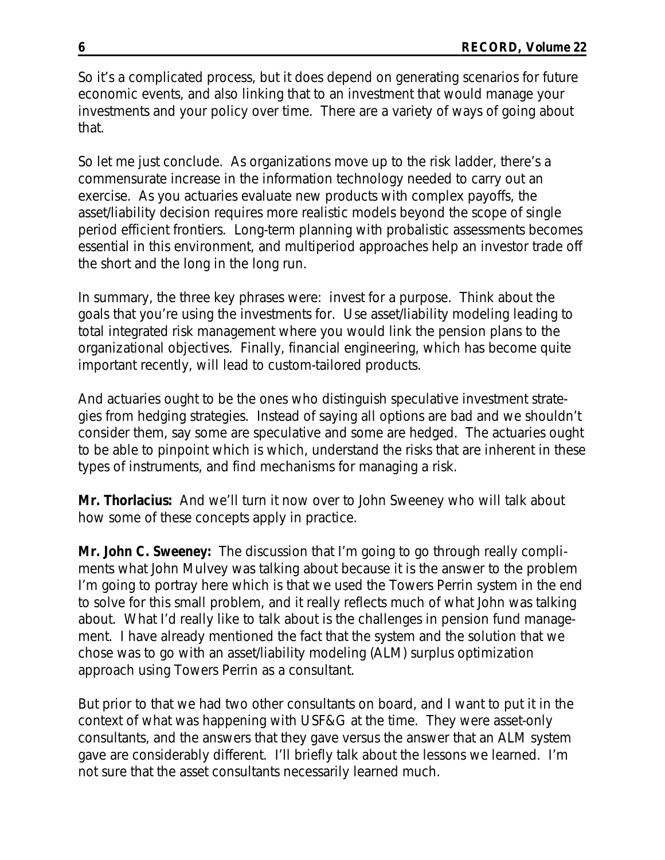So it's a complicated process, but it does depend on generating scenarios for future economic events, and also linking that to an investment that would manage your investments and your policy over time. There are a variety of ways of going about that.

So let me just conclude. As organizations move up to the risk ladder, there's a commensurate increase in the information technology needed to carry out an exercise. As you actuaries evaluate new products with complex payoffs, the asset/liability decision requires more realistic models beyond the scope of single period efficient frontiers. Long-term planning with probalistic assessments becomes essential in this environment, and multiperiod approaches help an investor trade off the short and the long in the long run.

In summary, the three key phrases were: invest for a purpose. Think about the goals that you're using the investments for. Use asset/liability modeling leading to total integrated risk management where you would link the pension plans to the organizational objectives. Finally, financial engineering, which has become quite important recently, will lead to custom-tailored products.

And actuaries ought to be the ones who distinguish speculative investment strategies from hedging strategies. Instead of saying all options are bad and we shouldn't consider them, say some are speculative and some are hedged. The actuaries ought to be able to pinpoint which is which, understand the risks that are inherent in these types of instruments, and find mechanisms for managing a risk.

**Mr. Thorlacius:** And we'll turn it now over to John Sweeney who will talk about how some of these concepts apply in practice.

**Mr. John C. Sweeney:** The discussion that I'm going to go through really compliments what John Mulvey was talking about because it is the answer to the problem I'm going to portray here which is that we used the Towers Perrin system in the end to solve for this small problem, and it really reflects much of what John was talking about. What I'd really like to talk about is the challenges in pension fund management. I have already mentioned the fact that the system and the solution that we chose was to go with an asset/liability modeling (ALM) surplus optimization approach using Towers Perrin as a consultant.

But prior to that we had two other consultants on board, and I want to put it in the context of what was happening with USF&G at the time. They were asset-only consultants, and the answers that they gave versus the answer that an ALM system gave are considerably different. I'll briefly talk about the lessons we learned. I'm not sure that the asset consultants necessarily learned much.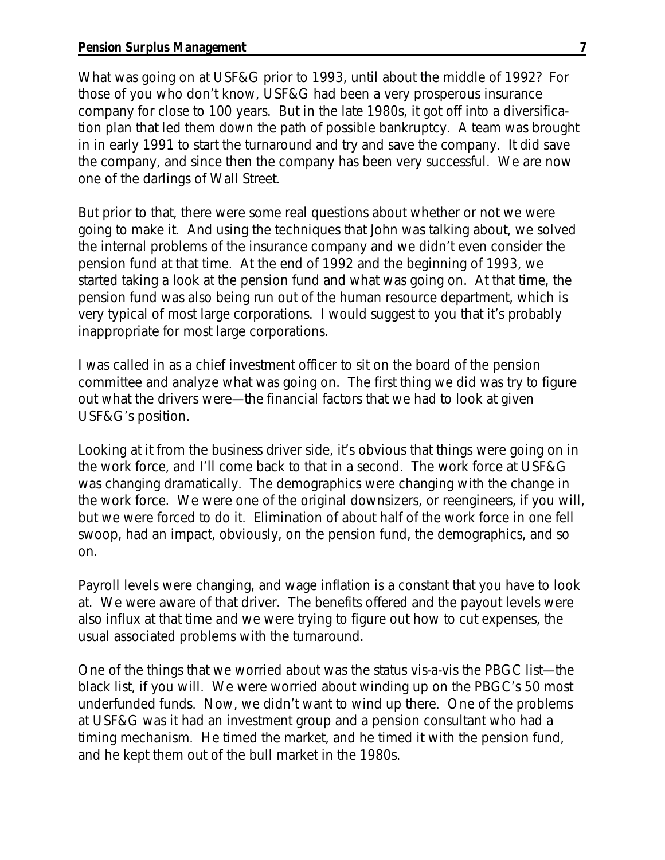What was going on at USF&G prior to 1993, until about the middle of 1992? For those of you who don't know, USF&G had been a very prosperous insurance company for close to 100 years. But in the late 1980s, it got off into a diversification plan that led them down the path of possible bankruptcy. A team was brought in in early 1991 to start the turnaround and try and save the company. It did save the company, and since then the company has been very successful. We are now one of the darlings of Wall Street.

But prior to that, there were some real questions about whether or not we were going to make it. And using the techniques that John was talking about, we solved the internal problems of the insurance company and we didn't even consider the pension fund at that time. At the end of 1992 and the beginning of 1993, we started taking a look at the pension fund and what was going on. At that time, the pension fund was also being run out of the human resource department, which is very typical of most large corporations. I would suggest to you that it's probably inappropriate for most large corporations.

I was called in as a chief investment officer to sit on the board of the pension committee and analyze what was going on. The first thing we did was try to figure out what the drivers were—the financial factors that we had to look at given USF&G's position.

Looking at it from the business driver side, it's obvious that things were going on in the work force, and I'll come back to that in a second. The work force at USF&G was changing dramatically. The demographics were changing with the change in the work force. We were one of the original downsizers, or reengineers, if you will, but we were forced to do it. Elimination of about half of the work force in one fell swoop, had an impact, obviously, on the pension fund, the demographics, and so on.

Payroll levels were changing, and wage inflation is a constant that you have to look at. We were aware of that driver. The benefits offered and the payout levels were also influx at that time and we were trying to figure out how to cut expenses, the usual associated problems with the turnaround.

One of the things that we worried about was the status vis-a-vis the PBGC list—the black list, if you will. We were worried about winding up on the PBGC's 50 most underfunded funds. Now, we didn't want to wind up there. One of the problems at USF&G was it had an investment group and a pension consultant who had a timing mechanism. He timed the market, and he timed it with the pension fund, and he kept them out of the bull market in the 1980s.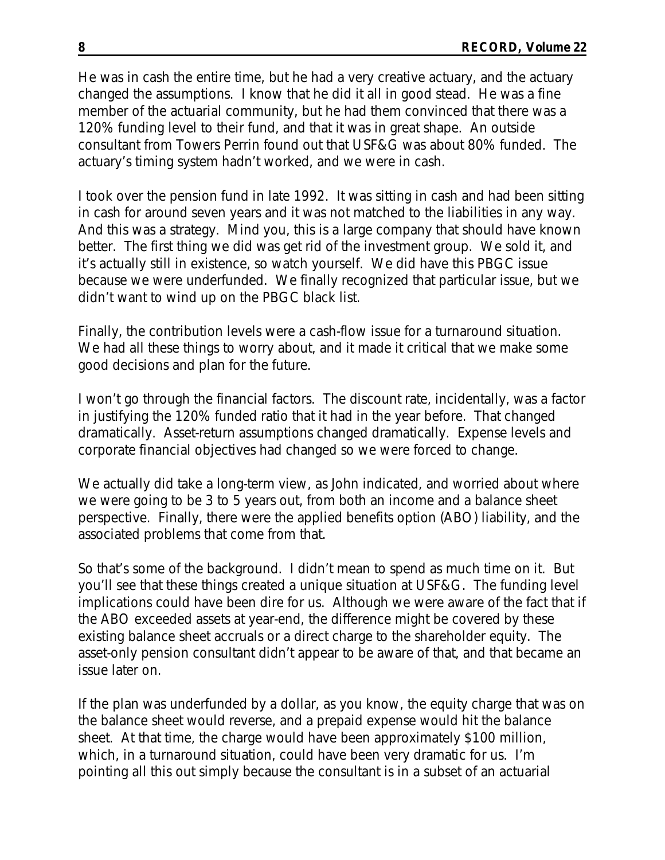He was in cash the entire time, but he had a very creative actuary, and the actuary changed the assumptions. I know that he did it all in good stead. He was a fine member of the actuarial community, but he had them convinced that there was a 120% funding level to their fund, and that it was in great shape. An outside consultant from Towers Perrin found out that USF&G was about 80% funded. The actuary's timing system hadn't worked, and we were in cash.

I took over the pension fund in late 1992. It was sitting in cash and had been sitting in cash for around seven years and it was not matched to the liabilities in any way. And this was a strategy. Mind you, this is a large company that should have known better. The first thing we did was get rid of the investment group. We sold it, and it's actually still in existence, so watch yourself. We did have this PBGC issue because we were underfunded. We finally recognized that particular issue, but we didn't want to wind up on the PBGC black list.

Finally, the contribution levels were a cash-flow issue for a turnaround situation. We had all these things to worry about, and it made it critical that we make some good decisions and plan for the future.

I won't go through the financial factors. The discount rate, incidentally, was a factor in justifying the 120% funded ratio that it had in the year before. That changed dramatically. Asset-return assumptions changed dramatically. Expense levels and corporate financial objectives had changed so we were forced to change.

We actually did take a long-term view, as John indicated, and worried about where we were going to be 3 to 5 years out, from both an income and a balance sheet perspective. Finally, there were the applied benefits option (ABO) liability, and the associated problems that come from that.

So that's some of the background. I didn't mean to spend as much time on it. But you'll see that these things created a unique situation at USF&G. The funding level implications could have been dire for us. Although we were aware of the fact that if the ABO exceeded assets at year-end, the difference might be covered by these existing balance sheet accruals or a direct charge to the shareholder equity. The asset-only pension consultant didn't appear to be aware of that, and that became an issue later on.

If the plan was underfunded by a dollar, as you know, the equity charge that was on the balance sheet would reverse, and a prepaid expense would hit the balance sheet. At that time, the charge would have been approximately \$100 million, which, in a turnaround situation, could have been very dramatic for us. I'm pointing all this out simply because the consultant is in a subset of an actuarial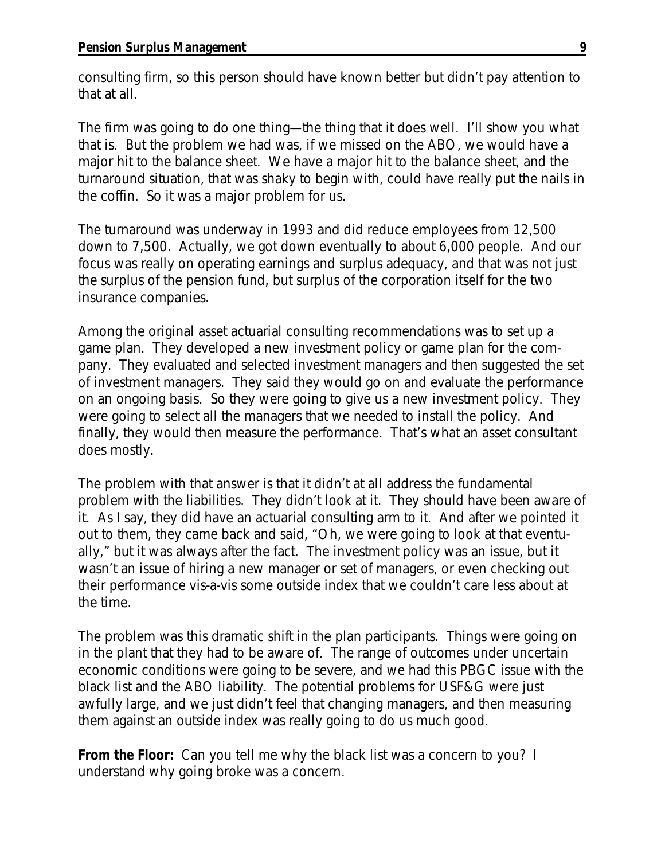consulting firm, so this person should have known better but didn't pay attention to that at all.

The firm was going to do one thing—the thing that it does well. I'll show you what that is. But the problem we had was, if we missed on the ABO, we would have a major hit to the balance sheet. We have a major hit to the balance sheet, and the turnaround situation, that was shaky to begin with, could have really put the nails in the coffin. So it was a major problem for us.

The turnaround was underway in 1993 and did reduce employees from 12,500 down to 7,500. Actually, we got down eventually to about 6,000 people. And our focus was really on operating earnings and surplus adequacy, and that was not just the surplus of the pension fund, but surplus of the corporation itself for the two insurance companies.

Among the original asset actuarial consulting recommendations was to set up a game plan. They developed a new investment policy or game plan for the company. They evaluated and selected investment managers and then suggested the set of investment managers. They said they would go on and evaluate the performance on an ongoing basis. So they were going to give us a new investment policy. They were going to select all the managers that we needed to install the policy. And finally, they would then measure the performance. That's what an asset consultant does mostly.

The problem with that answer is that it didn't at all address the fundamental problem with the liabilities. They didn't look at it. They should have been aware of it. As I say, they did have an actuarial consulting arm to it. And after we pointed it out to them, they came back and said, "Oh, we were going to look at that eventually," but it was always after the fact. The investment policy was an issue, but it wasn't an issue of hiring a new manager or set of managers, or even checking out their performance vis-a-vis some outside index that we couldn't care less about at the time.

The problem was this dramatic shift in the plan participants. Things were going on in the plant that they had to be aware of. The range of outcomes under uncertain economic conditions were going to be severe, and we had this PBGC issue with the black list and the ABO liability. The potential problems for USF&G were just awfully large, and we just didn't feel that changing managers, and then measuring them against an outside index was really going to do us much good.

**From the Floor:** Can you tell me why the black list was a concern to you? I understand why going broke was a concern.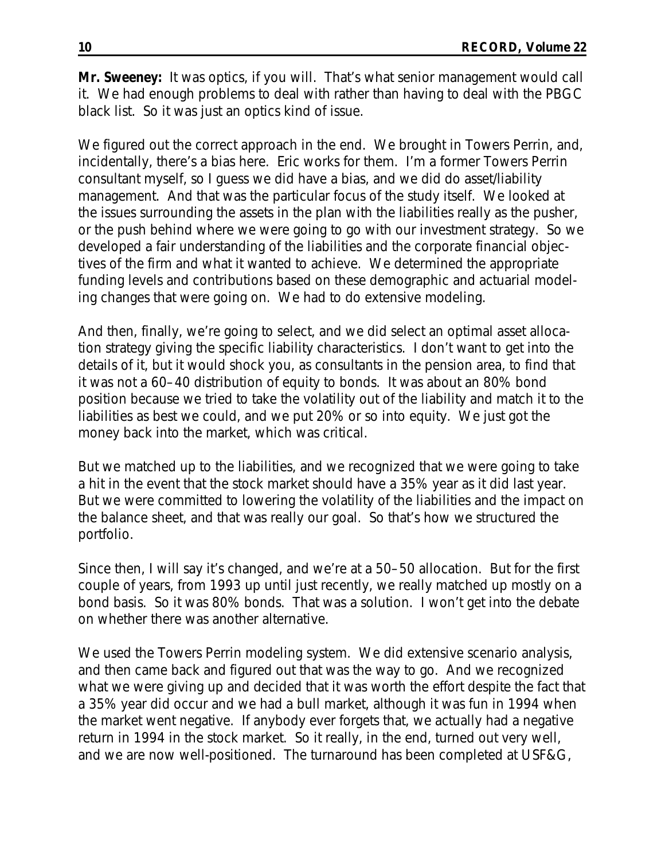**Mr. Sweeney:** It was optics, if you will. That's what senior management would call it. We had enough problems to deal with rather than having to deal with the PBGC black list. So it was just an optics kind of issue.

We figured out the correct approach in the end. We brought in Towers Perrin, and, incidentally, there's a bias here. Eric works for them. I'm a former Towers Perrin consultant myself, so I guess we did have a bias, and we did do asset/liability management. And that was the particular focus of the study itself. We looked at the issues surrounding the assets in the plan with the liabilities really as the pusher, or the push behind where we were going to go with our investment strategy. So we developed a fair understanding of the liabilities and the corporate financial objectives of the firm and what it wanted to achieve. We determined the appropriate funding levels and contributions based on these demographic and actuarial modeling changes that were going on. We had to do extensive modeling.

And then, finally, we're going to select, and we did select an optimal asset allocation strategy giving the specific liability characteristics. I don't want to get into the details of it, but it would shock you, as consultants in the pension area, to find that it was not a 60–40 distribution of equity to bonds. It was about an 80% bond position because we tried to take the volatility out of the liability and match it to the liabilities as best we could, and we put 20% or so into equity. We just got the money back into the market, which was critical.

But we matched up to the liabilities, and we recognized that we were going to take a hit in the event that the stock market should have a 35% year as it did last year. But we were committed to lowering the volatility of the liabilities and the impact on the balance sheet, and that was really our goal. So that's how we structured the portfolio.

Since then, I will say it's changed, and we're at a 50–50 allocation. But for the first couple of years, from 1993 up until just recently, we really matched up mostly on a bond basis. So it was 80% bonds. That was a solution. I won't get into the debate on whether there was another alternative.

We used the Towers Perrin modeling system. We did extensive scenario analysis, and then came back and figured out that was the way to go. And we recognized what we were giving up and decided that it was worth the effort despite the fact that a 35% year did occur and we had a bull market, although it was fun in 1994 when the market went negative. If anybody ever forgets that, we actually had a negative return in 1994 in the stock market. So it really, in the end, turned out very well, and we are now well-positioned. The turnaround has been completed at USF&G,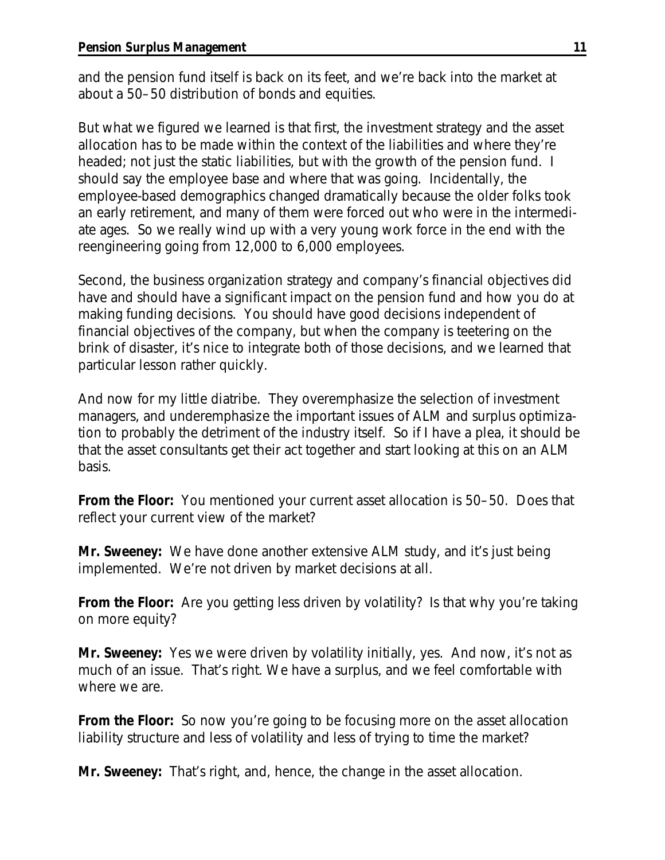and the pension fund itself is back on its feet, and we're back into the market at about a 50–50 distribution of bonds and equities.

But what we figured we learned is that first, the investment strategy and the asset allocation has to be made within the context of the liabilities and where they're headed; not just the static liabilities, but with the growth of the pension fund. I should say the employee base and where that was going. Incidentally, the employee-based demographics changed dramatically because the older folks took an early retirement, and many of them were forced out who were in the intermediate ages. So we really wind up with a very young work force in the end with the reengineering going from 12,000 to 6,000 employees.

Second, the business organization strategy and company's financial objectives did have and should have a significant impact on the pension fund and how you do at making funding decisions. You should have good decisions independent of financial objectives of the company, but when the company is teetering on the brink of disaster, it's nice to integrate both of those decisions, and we learned that particular lesson rather quickly.

And now for my little diatribe. They overemphasize the selection of investment managers, and underemphasize the important issues of ALM and surplus optimization to probably the detriment of the industry itself. So if I have a plea, it should be that the asset consultants get their act together and start looking at this on an ALM basis.

**From the Floor:** You mentioned your current asset allocation is 50–50. Does that reflect your current view of the market?

**Mr. Sweeney:** We have done another extensive ALM study, and it's just being implemented. We're not driven by market decisions at all.

**From the Floor:** Are you getting less driven by volatility? Is that why you're taking on more equity?

**Mr. Sweeney:** Yes we were driven by volatility initially, yes. And now, it's not as much of an issue. That's right. We have a surplus, and we feel comfortable with where we are.

**From the Floor:** So now you're going to be focusing more on the asset allocation liability structure and less of volatility and less of trying to time the market?

**Mr. Sweeney:** That's right, and, hence, the change in the asset allocation.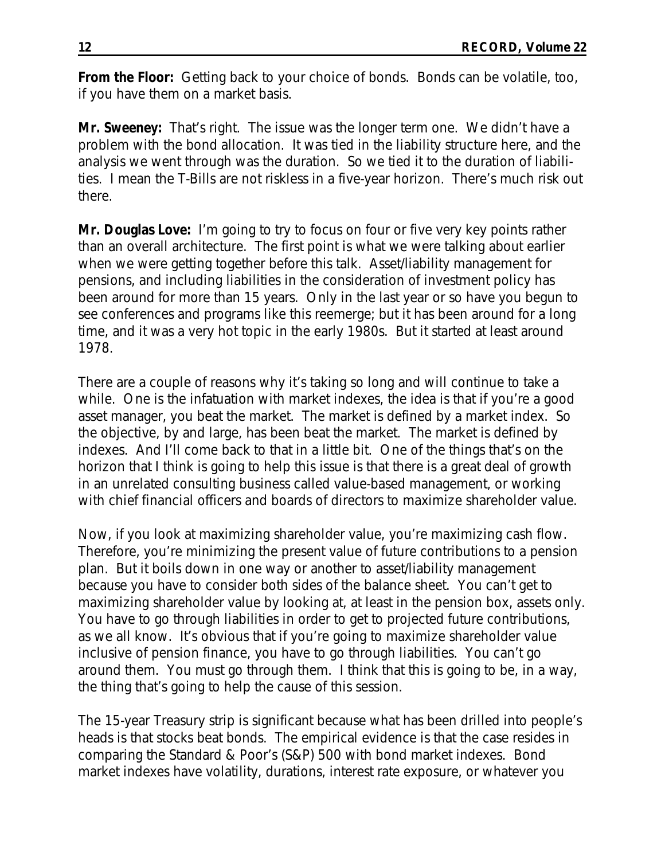**From the Floor:** Getting back to your choice of bonds. Bonds can be volatile, too, if you have them on a market basis.

**Mr. Sweeney:** That's right. The issue was the longer term one. We didn't have a problem with the bond allocation. It was tied in the liability structure here, and the analysis we went through was the duration. So we tied it to the duration of liabilities. I mean the T-Bills are not riskless in a five-year horizon. There's much risk out there.

**Mr. Douglas Love:** I'm going to try to focus on four or five very key points rather than an overall architecture. The first point is what we were talking about earlier when we were getting together before this talk. Asset/liability management for pensions, and including liabilities in the consideration of investment policy has been around for more than 15 years. Only in the last year or so have you begun to see conferences and programs like this reemerge; but it has been around for a long time, and it was a very hot topic in the early 1980s. But it started at least around 1978.

There are a couple of reasons why it's taking so long and will continue to take a while. One is the infatuation with market indexes, the idea is that if you're a good asset manager, you beat the market. The market is defined by a market index. So the objective, by and large, has been beat the market. The market is defined by indexes. And I'll come back to that in a little bit. One of the things that's on the horizon that I think is going to help this issue is that there is a great deal of growth in an unrelated consulting business called value-based management, or working with chief financial officers and boards of directors to maximize shareholder value.

Now, if you look at maximizing shareholder value, you're maximizing cash flow. Therefore, you're minimizing the present value of future contributions to a pension plan. But it boils down in one way or another to asset/liability management because you have to consider both sides of the balance sheet. You can't get to maximizing shareholder value by looking at, at least in the pension box, assets only. You have to go through liabilities in order to get to projected future contributions, as we all know. It's obvious that if you're going to maximize shareholder value inclusive of pension finance, you have to go through liabilities. You can't go around them. You must go through them. I think that this is going to be, in a way, the thing that's going to help the cause of this session.

The 15-year Treasury strip is significant because what has been drilled into people's heads is that stocks beat bonds. The empirical evidence is that the case resides in comparing the Standard & Poor's (S&P) 500 with bond market indexes. Bond market indexes have volatility, durations, interest rate exposure, or whatever you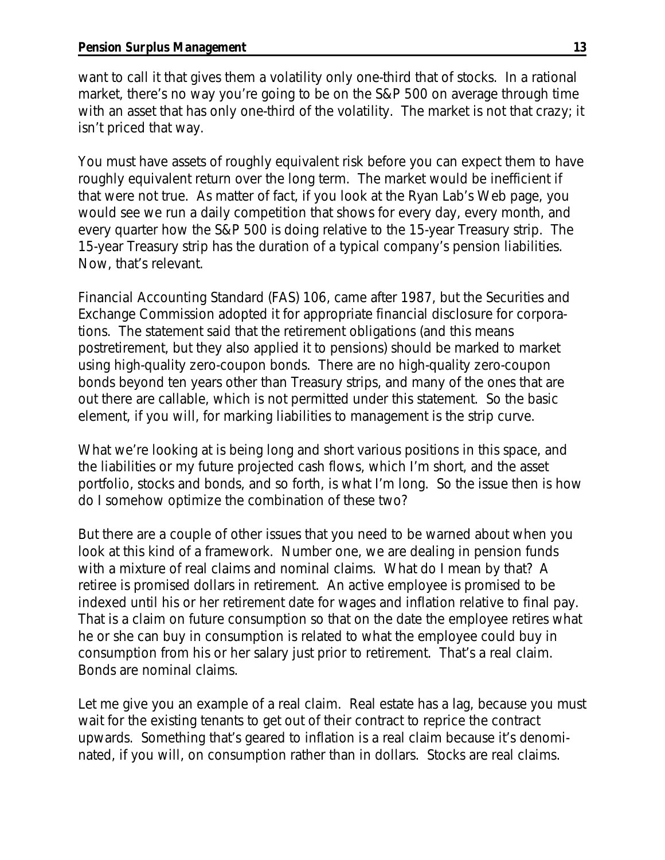want to call it that gives them a volatility only one-third that of stocks. In a rational market, there's no way you're going to be on the S&P 500 on average through time with an asset that has only one-third of the volatility. The market is not that crazy; it isn't priced that way.

You must have assets of roughly equivalent risk before you can expect them to have roughly equivalent return over the long term. The market would be inefficient if that were not true. As matter of fact, if you look at the Ryan Lab's Web page, you would see we run a daily competition that shows for every day, every month, and every quarter how the S&P 500 is doing relative to the 15-year Treasury strip. The 15-year Treasury strip has the duration of a typical company's pension liabilities. Now, that's relevant.

*Financial Accounting Standard (FAS) 106*, came after 1987, but the Securities and Exchange Commission adopted it for appropriate financial disclosure for corporations. The statement said that the retirement obligations (and this means postretirement, but they also applied it to pensions) should be marked to market using high-quality zero-coupon bonds. There are no high-quality zero-coupon bonds beyond ten years other than Treasury strips, and many of the ones that are out there are callable, which is not permitted under this statement. So the basic element, if you will, for marking liabilities to management is the strip curve.

What we're looking at is being long and short various positions in this space, and the liabilities or my future projected cash flows, which I'm short, and the asset portfolio, stocks and bonds, and so forth, is what I'm long. So the issue then is how do I somehow optimize the combination of these two?

But there are a couple of other issues that you need to be warned about when you look at this kind of a framework. Number one, we are dealing in pension funds with a mixture of real claims and nominal claims. What do I mean by that? A retiree is promised dollars in retirement. An active employee is promised to be indexed until his or her retirement date for wages and inflation relative to final pay. That is a claim on future consumption so that on the date the employee retires what he or she can buy in consumption is related to what the employee could buy in consumption from his or her salary just prior to retirement. That's a real claim. Bonds are nominal claims.

Let me give you an example of a real claim. Real estate has a lag, because you must wait for the existing tenants to get out of their contract to reprice the contract upwards. Something that's geared to inflation is a real claim because it's denominated, if you will, on consumption rather than in dollars. Stocks are real claims.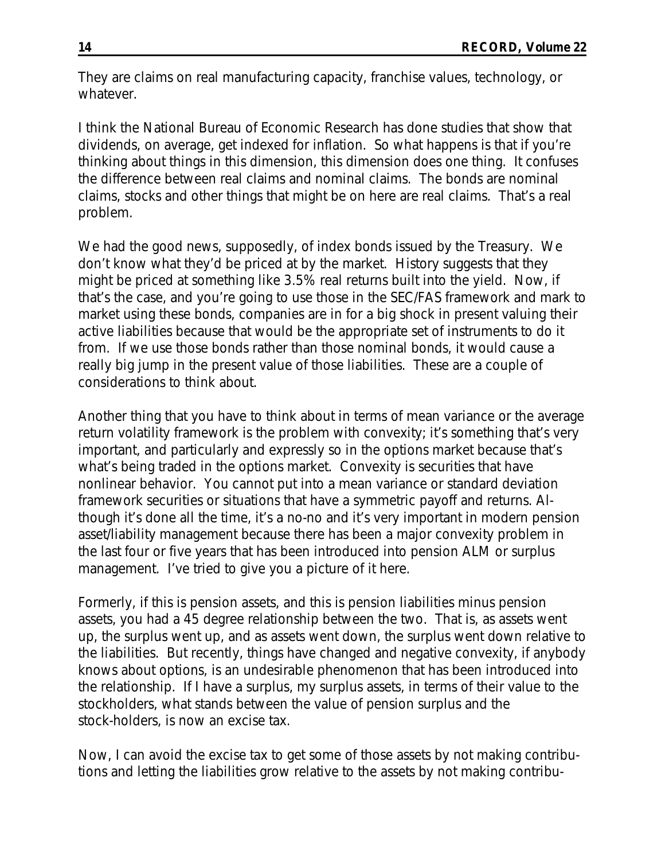They are claims on real manufacturing capacity, franchise values, technology, or whatever.

I think the National Bureau of Economic Research has done studies that show that dividends, on average, get indexed for inflation. So what happens is that if you're thinking about things in this dimension, this dimension does one thing. It confuses the difference between real claims and nominal claims. The bonds are nominal claims, stocks and other things that might be on here are real claims. That's a real problem.

We had the good news, supposedly, of index bonds issued by the Treasury. We don't know what they'd be priced at by the market. History suggests that they might be priced at something like 3.5% real returns built into the yield. Now, if that's the case, and you're going to use those in the SEC/FAS framework and mark to market using these bonds, companies are in for a big shock in present valuing their active liabilities because that would be the appropriate set of instruments to do it from. If we use those bonds rather than those nominal bonds, it would cause a really big jump in the present value of those liabilities. These are a couple of considerations to think about.

Another thing that you have to think about in terms of mean variance or the average return volatility framework is the problem with convexity; it's something that's very important, and particularly and expressly so in the options market because that's what's being traded in the options market. Convexity is securities that have nonlinear behavior. You cannot put into a mean variance or standard deviation framework securities or situations that have a symmetric payoff and returns. Although it's done all the time, it's a no-no and it's very important in modern pension asset/liability management because there has been a major convexity problem in the last four or five years that has been introduced into pension ALM or surplus management. I've tried to give you a picture of it here.

Formerly, if this is pension assets, and this is pension liabilities minus pension assets, you had a 45 degree relationship between the two. That is, as assets went up, the surplus went up, and as assets went down, the surplus went down relative to the liabilities. But recently, things have changed and negative convexity, if anybody knows about options, is an undesirable phenomenon that has been introduced into the relationship. If I have a surplus, my surplus assets, in terms of their value to the stockholders, what stands between the value of pension surplus and the stock-holders, is now an excise tax.

Now, I can avoid the excise tax to get some of those assets by not making contributions and letting the liabilities grow relative to the assets by not making contribu-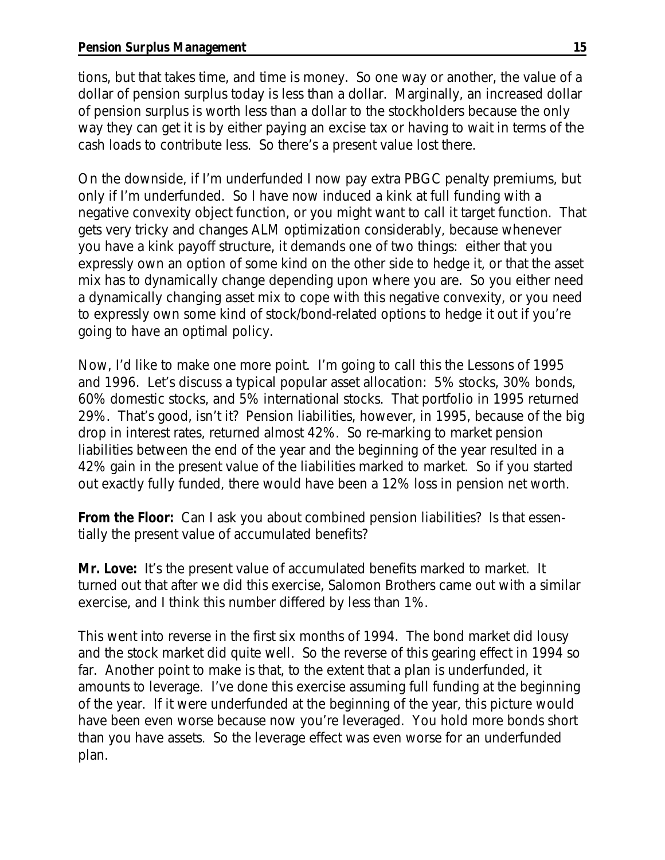tions, but that takes time, and time is money. So one way or another, the value of a dollar of pension surplus today is less than a dollar. Marginally, an increased dollar of pension surplus is worth less than a dollar to the stockholders because the only way they can get it is by either paying an excise tax or having to wait in terms of the cash loads to contribute less. So there's a present value lost there.

On the downside, if I'm underfunded I now pay extra PBGC penalty premiums, but only if I'm underfunded. So I have now induced a kink at full funding with a negative convexity object function, or you might want to call it target function. That gets very tricky and changes ALM optimization considerably, because whenever you have a kink payoff structure, it demands one of two things: either that you expressly own an option of some kind on the other side to hedge it, or that the asset mix has to dynamically change depending upon where you are. So you either need a dynamically changing asset mix to cope with this negative convexity, or you need to expressly own some kind of stock/bond-related options to hedge it out if you're going to have an optimal policy.

Now, I'd like to make one more point. I'm going to call this the Lessons of 1995 and 1996. Let's discuss a typical popular asset allocation: 5% stocks, 30% bonds, 60% domestic stocks, and 5% international stocks. That portfolio in 1995 returned 29%. That's good, isn't it? Pension liabilities, however, in 1995, because of the big drop in interest rates, returned almost 42%. So re-marking to market pension liabilities between the end of the year and the beginning of the year resulted in a 42% gain in the present value of the liabilities marked to market. So if you started out exactly fully funded, there would have been a 12% loss in pension net worth.

**From the Floor:** Can I ask you about combined pension liabilities? Is that essentially the present value of accumulated benefits?

**Mr. Love:** It's the present value of accumulated benefits marked to market. It turned out that after we did this exercise, Salomon Brothers came out with a similar exercise, and I think this number differed by less than 1%.

This went into reverse in the first six months of 1994. The bond market did lousy and the stock market did quite well. So the reverse of this gearing effect in 1994 so far. Another point to make is that, to the extent that a plan is underfunded, it amounts to leverage. I've done this exercise assuming full funding at the beginning of the year. If it were underfunded at the beginning of the year, this picture would have been even worse because now you're leveraged. You hold more bonds short than you have assets. So the leverage effect was even worse for an underfunded plan.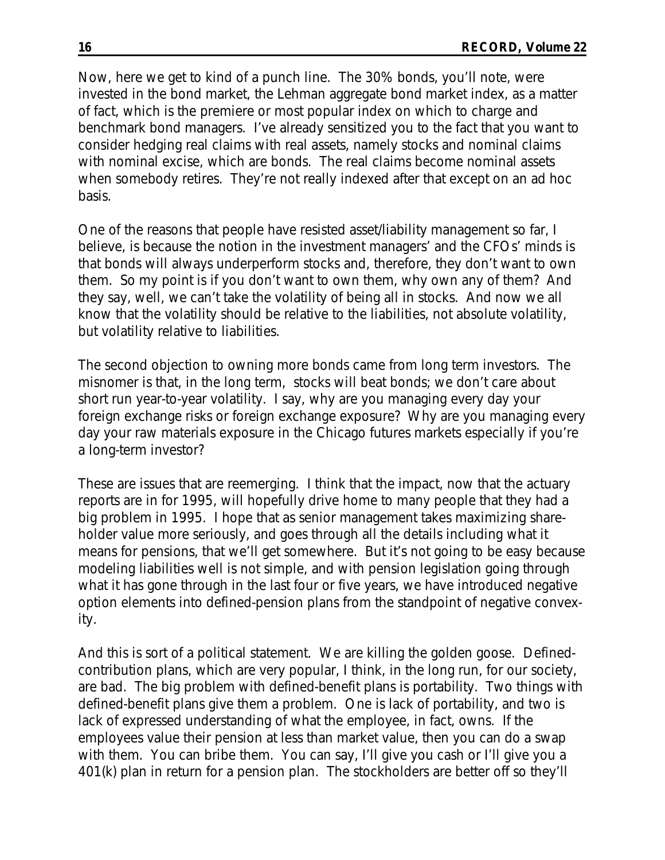Now, here we get to kind of a punch line. The 30% bonds, you'll note, were invested in the bond market, the Lehman aggregate bond market index, as a matter of fact, which is the premiere or most popular index on which to charge and benchmark bond managers. I've already sensitized you to the fact that you want to consider hedging real claims with real assets, namely stocks and nominal claims with nominal excise, which are bonds. The real claims become nominal assets when somebody retires. They're not really indexed after that except on an ad hoc basis.

One of the reasons that people have resisted asset/liability management so far, I believe, is because the notion in the investment managers' and the CFOs' minds is that bonds will always underperform stocks and, therefore, they don't want to own them. So my point is if you don't want to own them, why own any of them? And they say, well, we can't take the volatility of being all in stocks. And now we all know that the volatility should be relative to the liabilities, not absolute volatility, but volatility relative to liabilities.

The second objection to owning more bonds came from long term investors. The misnomer is that, in the long term, stocks will beat bonds; we don't care about short run year-to-year volatility. I say, why are you managing every day your foreign exchange risks or foreign exchange exposure? Why are you managing every day your raw materials exposure in the Chicago futures markets especially if you're a long-term investor?

These are issues that are reemerging. I think that the impact, now that the actuary reports are in for 1995, will hopefully drive home to many people that they had a big problem in 1995. I hope that as senior management takes maximizing shareholder value more seriously, and goes through all the details including what it means for pensions, that we'll get somewhere. But it's not going to be easy because modeling liabilities well is not simple, and with pension legislation going through what it has gone through in the last four or five years, we have introduced negative option elements into defined-pension plans from the standpoint of negative convexity.

And this is sort of a political statement. We are killing the golden goose. Definedcontribution plans, which are very popular, I think, in the long run, for our society, are bad. The big problem with defined-benefit plans is portability. Two things with defined-benefit plans give them a problem. One is lack of portability, and two is lack of expressed understanding of what the employee, in fact, owns. If the employees value their pension at less than market value, then you can do a swap with them. You can bribe them. You can say, I'll give you cash or I'll give you a 401(k) plan in return for a pension plan. The stockholders are better off so they'll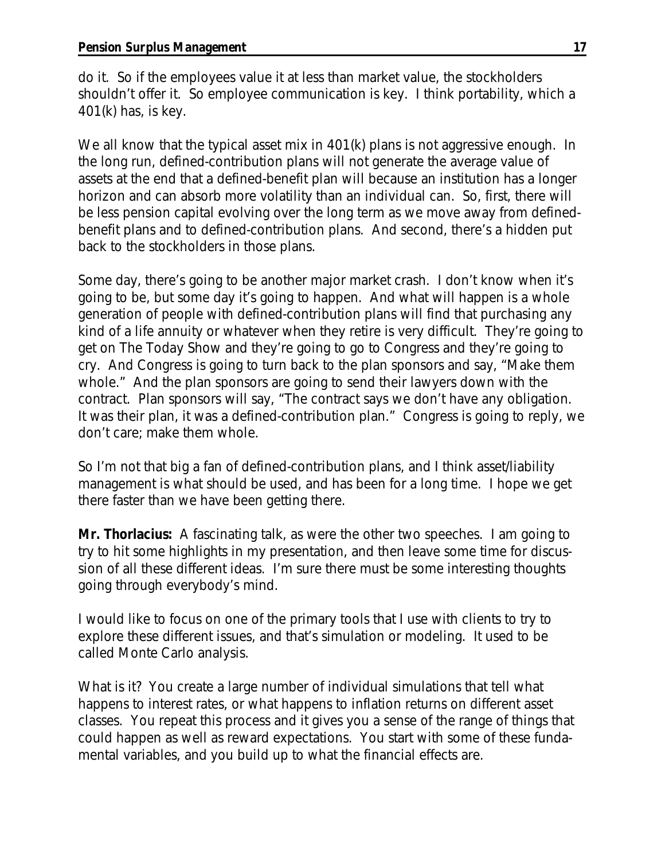do it. So if the employees value it at less than market value, the stockholders shouldn't offer it. So employee communication is key. I think portability, which a 401(k) has, is key.

We all know that the typical asset mix in 401(k) plans is not aggressive enough. In the long run, defined-contribution plans will not generate the average value of assets at the end that a defined-benefit plan will because an institution has a longer horizon and can absorb more volatility than an individual can. So, first, there will be less pension capital evolving over the long term as we move away from definedbenefit plans and to defined-contribution plans. And second, there's a hidden put back to the stockholders in those plans.

Some day, there's going to be another major market crash. I don't know when it's going to be, but some day it's going to happen. And what will happen is a whole generation of people with defined-contribution plans will find that purchasing any kind of a life annuity or whatever when they retire is very difficult. They're going to get on *The Today Show* and they're going to go to Congress and they're going to cry. And Congress is going to turn back to the plan sponsors and say, "Make them whole." And the plan sponsors are going to send their lawyers down with the contract. Plan sponsors will say, "The contract says we don't have any obligation. It was their plan, it was a defined-contribution plan." Congress is going to reply, we don't care; make them whole.

So I'm not that big a fan of defined-contribution plans, and I think asset/liability management is what should be used, and has been for a long time. I hope we get there faster than we have been getting there.

**Mr. Thorlacius:** A fascinating talk, as were the other two speeches. I am going to try to hit some highlights in my presentation, and then leave some time for discussion of all these different ideas. I'm sure there must be some interesting thoughts going through everybody's mind.

I would like to focus on one of the primary tools that I use with clients to try to explore these different issues, and that's simulation or modeling. It used to be called Monte Carlo analysis.

What is it? You create a large number of individual simulations that tell what happens to interest rates, or what happens to inflation returns on different asset classes. You repeat this process and it gives you a sense of the range of things that could happen as well as reward expectations. You start with some of these fundamental variables, and you build up to what the financial effects are.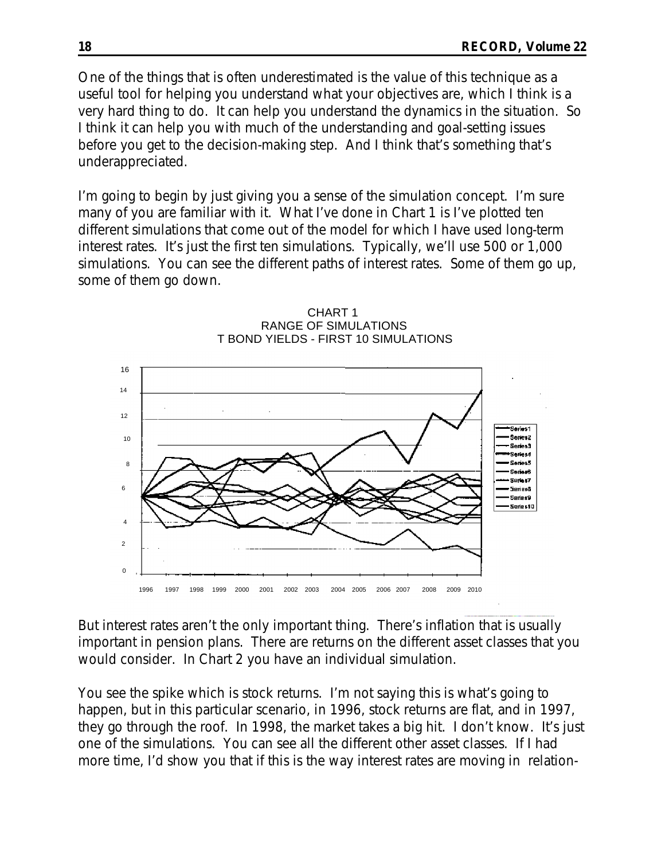One of the things that is often underestimated is the value of this technique as a useful tool for helping you understand what your objectives are, which I think is a very hard thing to do. It can help you understand the dynamics in the situation. So I think it can help you with much of the understanding and goal-setting issues before you get to the decision-making step. And I think that's something that's underappreciated.

I'm going to begin by just giving you a sense of the simulation concept. I'm sure many of you are familiar with it. What I've done in Chart 1 is I've plotted ten different simulations that come out of the model for which I have used long-term interest rates. It's just the first ten simulations. Typically, we'll use 500 or 1,000 simulations. You can see the different paths of interest rates. Some of them go up, some of them go down.



CHART 1 RANGE OF SIMULATIONS T BOND YIELDS - FIRST 10 SIMULATIONS

But interest rates aren't the only important thing. There's inflation that is usually important in pension plans. There are returns on the different asset classes that you would consider. In Chart 2 you have an individual simulation.

You see the spike which is stock returns. I'm not saying this is what's going to happen, but in this particular scenario, in 1996, stock returns are flat, and in 1997, they go through the roof. In 1998, the market takes a big hit. I don't know. It's just one of the simulations. You can see all the different other asset classes. If I had more time, I'd show you that if this is the way interest rates are moving in relation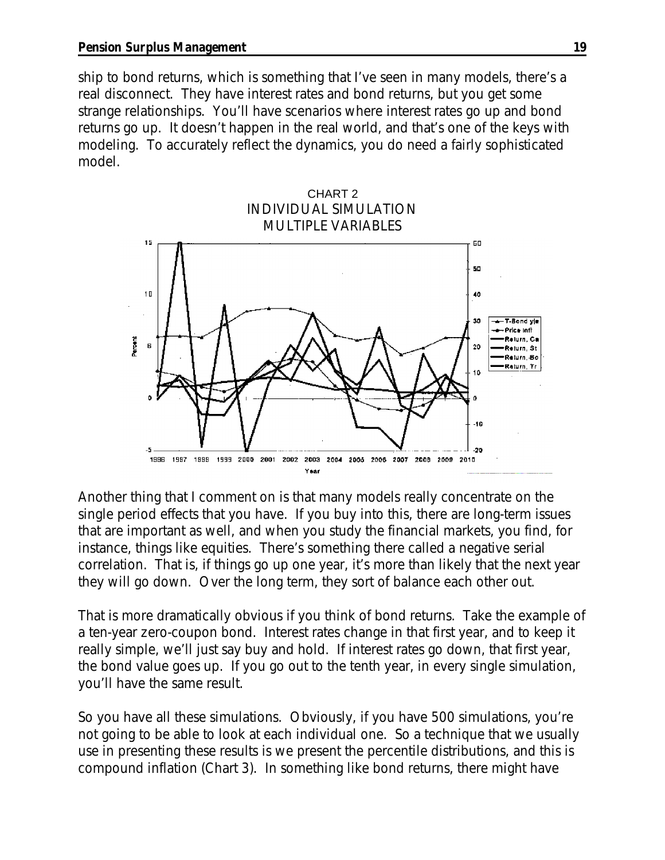ship to bond returns, which is something that I've seen in many models, there's a real disconnect. They have interest rates and bond returns, but you get some strange relationships. You'll have scenarios where interest rates go up and bond returns go up. It doesn't happen in the real world, and that's one of the keys with modeling. To accurately reflect the dynamics, you do need a fairly sophisticated model.



Another thing that I comment on is that many models really concentrate on the single period effects that you have. If you buy into this, there are long-term issues that are important as well, and when you study the financial markets, you find, for instance, things like equities. There's something there called a negative serial correlation. That is, if things go up one year, it's more than likely that the next year they will go down. Over the long term, they sort of balance each other out.

That is more dramatically obvious if you think of bond returns. Take the example of a ten-year zero-coupon bond. Interest rates change in that first year, and to keep it really simple, we'll just say buy and hold. If interest rates go down, that first year, the bond value goes up. If you go out to the tenth year, in every single simulation, you'll have the same result.

So you have all these simulations. Obviously, if you have 500 simulations, you're not going to be able to look at each individual one. So a technique that we usually use in presenting these results is we present the percentile distributions, and this is compound inflation (Chart 3). In something like bond returns, there might have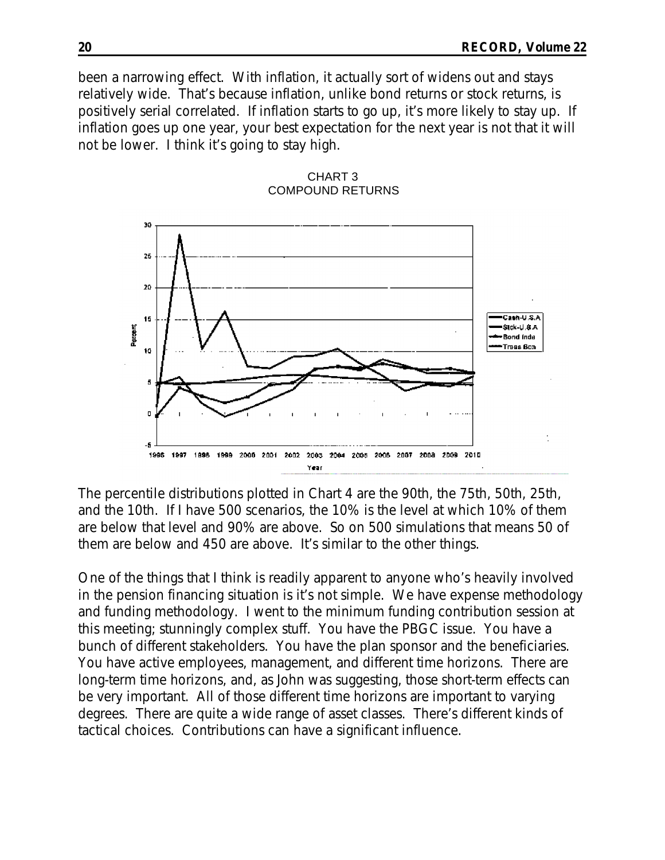been a narrowing effect. With inflation, it actually sort of widens out and stays relatively wide. That's because inflation, unlike bond returns or stock returns, is positively serial correlated. If inflation starts to go up, it's more likely to stay up. If inflation goes up one year, your best expectation for the next year is not that it will not be lower. I think it's going to stay high.



CHART 3 COMPOUND RETURNS

The percentile distributions plotted in Chart 4 are the 90th, the 75th, 50th, 25th, and the 10th. If I have 500 scenarios, the 10% is the level at which 10% of them are below that level and 90% are above. So on 500 simulations that means 50 of them are below and 450 are above. It's similar to the other things.

One of the things that I think is readily apparent to anyone who's heavily involved in the pension financing situation is it's not simple. We have expense methodology and funding methodology. I went to the minimum funding contribution session at this meeting; stunningly complex stuff. You have the PBGC issue. You have a bunch of different stakeholders. You have the plan sponsor and the beneficiaries. You have active employees, management, and different time horizons. There are long-term time horizons, and, as John was suggesting, those short-term effects can be very important. All of those different time horizons are important to varying degrees. There are quite a wide range of asset classes. There's different kinds of tactical choices. Contributions can have a significant influence.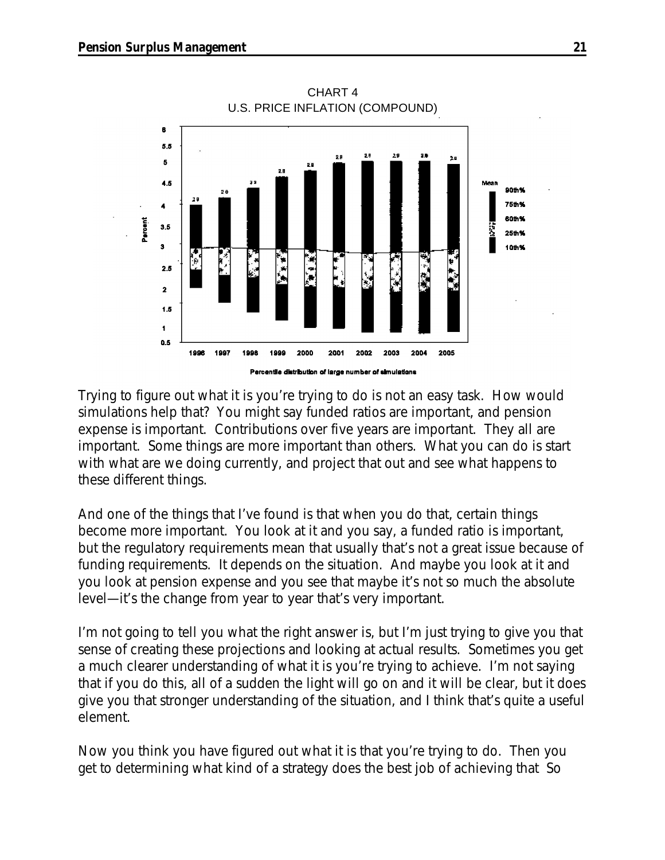

CHART 4 U.S. PRICE INFLATION (COMPOUND)

Trying to figure out what it is you're trying to do is not an easy task. How would simulations help that? You might say funded ratios are important, and pension expense is important. Contributions over five years are important. They all are important. Some things are more important than others. What you can do is start with what are we doing currently, and project that out and see what happens to these different things.

And one of the things that I've found is that when you do that, certain things become more important. You look at it and you say, a funded ratio is important, but the regulatory requirements mean that usually that's not a great issue because of funding requirements. It depends on the situation. And maybe you look at it and you look at pension expense and you see that maybe it's not so much the absolute level—it's the change from year to year that's very important.

I'm not going to tell you what the right answer is, but I'm just trying to give you that sense of creating these projections and looking at actual results. Sometimes you get a much clearer understanding of what it is you're trying to achieve. I'm not saying that if you do this, all of a sudden the light will go on and it will be clear, but it does give you that stronger understanding of the situation, and I think that's quite a useful element.

Now you think you have figured out what it is that you're trying to do. Then you get to determining what kind of a strategy does the best job of achieving that So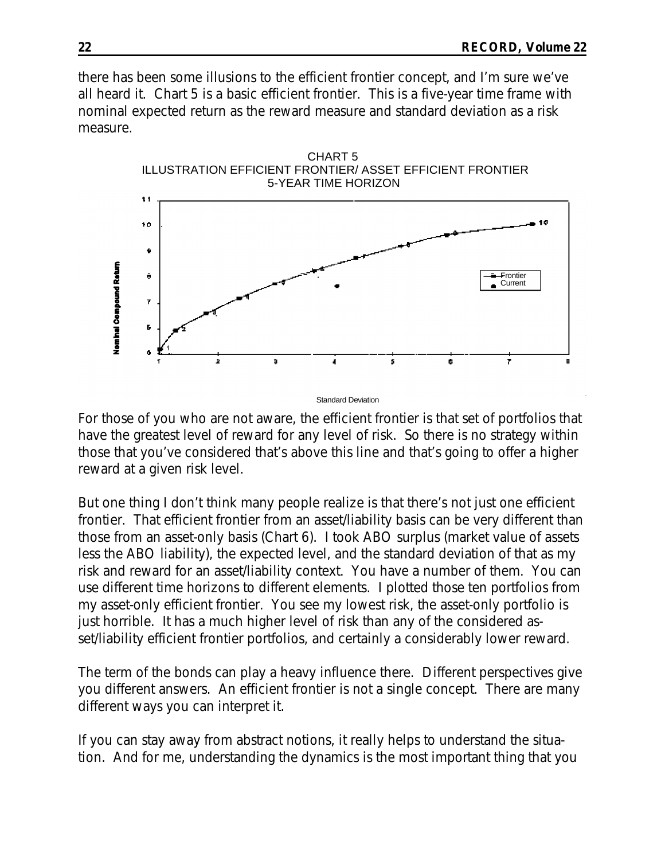there has been some illusions to the efficient frontier concept, and I'm sure we've all heard it. Chart 5 is a basic efficient frontier. This is a five-year time frame with nominal expected return as the reward measure and standard deviation as a risk measure.



Standard Deviation

For those of you who are not aware, the efficient frontier is that set of portfolios that have the greatest level of reward for any level of risk. So there is no strategy within those that you've considered that's above this line and that's going to offer a higher reward at a given risk level.

But one thing I don't think many people realize is that there's not just one efficient frontier. That efficient frontier from an asset/liability basis can be very different than those from an asset-only basis (Chart 6). I took ABO surplus (market value of assets less the ABO liability), the expected level, and the standard deviation of that as my risk and reward for an asset/liability context. You have a number of them. You can use different time horizons to different elements. I plotted those ten portfolios from my asset-only efficient frontier. You see my lowest risk, the asset-only portfolio is just horrible. It has a much higher level of risk than any of the considered asset/liability efficient frontier portfolios, and certainly a considerably lower reward.

The term of the bonds can play a heavy influence there. Different perspectives give you different answers. An efficient frontier is not a single concept. There are many different ways you can interpret it.

If you can stay away from abstract notions, it really helps to understand the situation. And for me, understanding the dynamics is the most important thing that you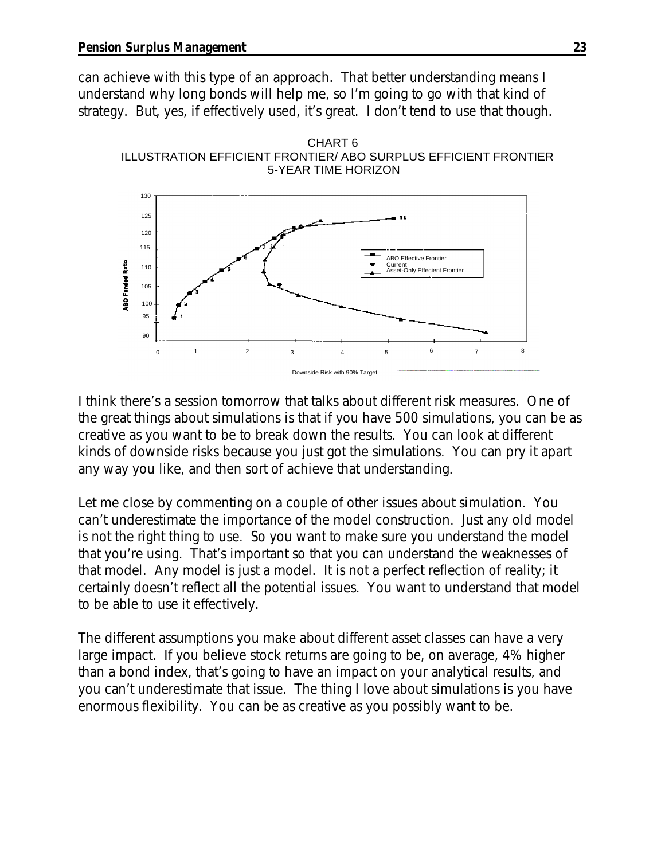can achieve with this type of an approach. That better understanding means I understand why long bonds will help me, so I'm going to go with that kind of strategy. But, yes, if effectively used, it's great. I don't tend to use that though.





I think there's a session tomorrow that talks about different risk measures. One of the great things about simulations is that if you have 500 simulations, you can be as creative as you want to be to break down the results. You can look at different kinds of downside risks because you just got the simulations. You can pry it apart any way you like, and then sort of achieve that understanding.

Let me close by commenting on a couple of other issues about simulation. You can't underestimate the importance of the model construction. Just any old model is not the right thing to use. So you want to make sure you understand the model that you're using. That's important so that you can understand the weaknesses of that model. Any model is just a model. It is not a perfect reflection of reality; it certainly doesn't reflect all the potential issues. You want to understand that model to be able to use it effectively.

The different assumptions you make about different asset classes can have a very large impact. If you believe stock returns are going to be, on average, 4% higher than a bond index, that's going to have an impact on your analytical results, and you can't underestimate that issue. The thing I love about simulations is you have enormous flexibility. You can be as creative as you possibly want to be.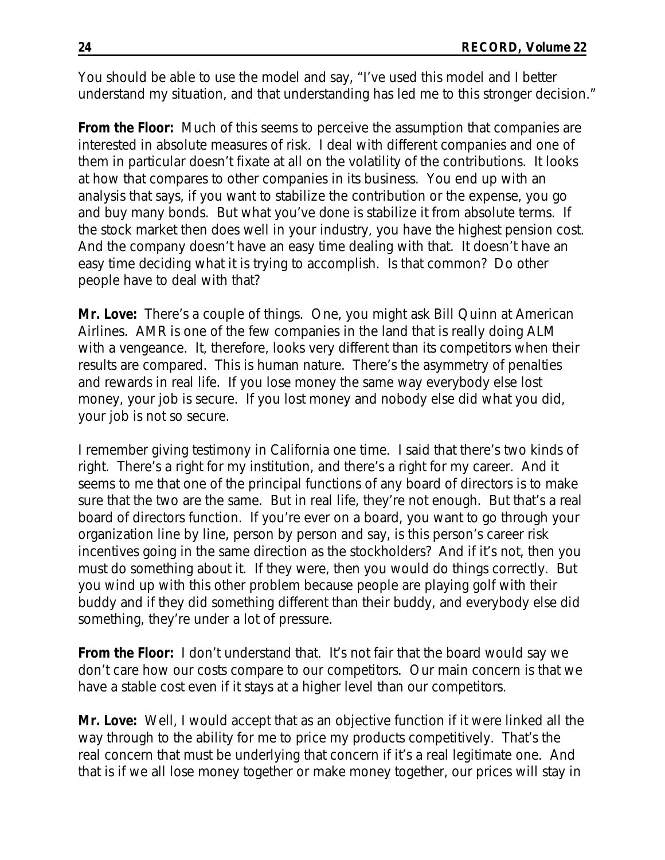You should be able to use the model and say, "I've used this model and I better understand my situation, and that understanding has led me to this stronger decision."

**From the Floor:** Much of this seems to perceive the assumption that companies are interested in absolute measures of risk. I deal with different companies and one of them in particular doesn't fixate at all on the volatility of the contributions. It looks at how that compares to other companies in its business. You end up with an analysis that says, if you want to stabilize the contribution or the expense, you go and buy many bonds. But what you've done is stabilize it from absolute terms. If the stock market then does well in your industry, you have the highest pension cost. And the company doesn't have an easy time dealing with that. It doesn't have an easy time deciding what it is trying to accomplish. Is that common? Do other people have to deal with that?

**Mr. Love:** There's a couple of things. One, you might ask Bill Quinn at American Airlines. AMR is one of the few companies in the land that is really doing ALM with a vengeance. It, therefore, looks very different than its competitors when their results are compared. This is human nature. There's the asymmetry of penalties and rewards in real life. If you lose money the same way everybody else lost money, your job is secure. If you lost money and nobody else did what you did, your job is not so secure.

I remember giving testimony in California one time. I said that there's two kinds of right. There's a right for my institution, and there's a right for my career. And it seems to me that one of the principal functions of any board of directors is to make sure that the two are the same. But in real life, they're not enough. But that's a real board of directors function. If you're ever on a board, you want to go through your organization line by line, person by person and say, is this person's career risk incentives going in the same direction as the stockholders? And if it's not, then you must do something about it. If they were, then you would do things correctly. But you wind up with this other problem because people are playing golf with their buddy and if they did something different than their buddy, and everybody else did something, they're under a lot of pressure.

**From the Floor:** I don't understand that. It's not fair that the board would say we don't care how our costs compare to our competitors. Our main concern is that we have a stable cost even if it stays at a higher level than our competitors.

**Mr. Love:** Well, I would accept that as an objective function if it were linked all the way through to the ability for me to price my products competitively. That's the real concern that must be underlying that concern if it's a real legitimate one. And that is if we all lose money together or make money together, our prices will stay in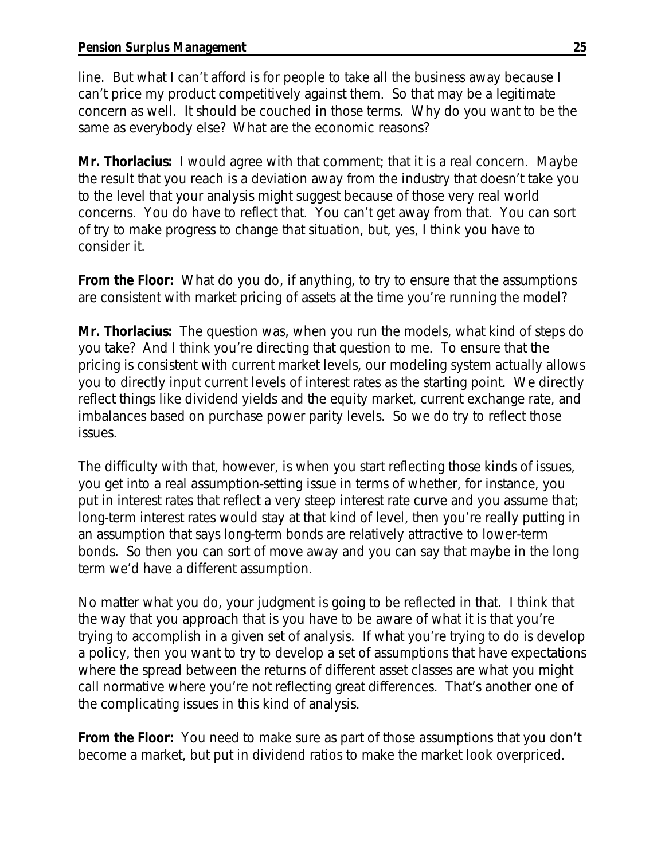line. But what I can't afford is for people to take all the business away because I can't price my product competitively against them. So that may be a legitimate concern as well. It should be couched in those terms. Why do you want to be the same as everybody else? What are the economic reasons?

**Mr. Thorlacius:** I would agree with that comment; that it is a real concern. Maybe the result that you reach is a deviation away from the industry that doesn't take you to the level that your analysis might suggest because of those very real world concerns. You do have to reflect that. You can't get away from that. You can sort of try to make progress to change that situation, but, yes, I think you have to consider it.

**From the Floor:** What do you do, if anything, to try to ensure that the assumptions are consistent with market pricing of assets at the time you're running the model?

**Mr. Thorlacius:** The question was, when you run the models, what kind of steps do you take? And I think you're directing that question to me. To ensure that the pricing is consistent with current market levels, our modeling system actually allows you to directly input current levels of interest rates as the starting point. We directly reflect things like dividend yields and the equity market, current exchange rate, and imbalances based on purchase power parity levels. So we do try to reflect those issues.

The difficulty with that, however, is when you start reflecting those kinds of issues, you get into a real assumption-setting issue in terms of whether, for instance, you put in interest rates that reflect a very steep interest rate curve and you assume that; long-term interest rates would stay at that kind of level, then you're really putting in an assumption that says long-term bonds are relatively attractive to lower-term bonds. So then you can sort of move away and you can say that maybe in the long term we'd have a different assumption.

No matter what you do, your judgment is going to be reflected in that. I think that the way that you approach that is you have to be aware of what it is that you're trying to accomplish in a given set of analysis. If what you're trying to do is develop a policy, then you want to try to develop a set of assumptions that have expectations where the spread between the returns of different asset classes are what you might call normative where you're not reflecting great differences. That's another one of the complicating issues in this kind of analysis.

**From the Floor:** You need to make sure as part of those assumptions that you don't become a market, but put in dividend ratios to make the market look overpriced.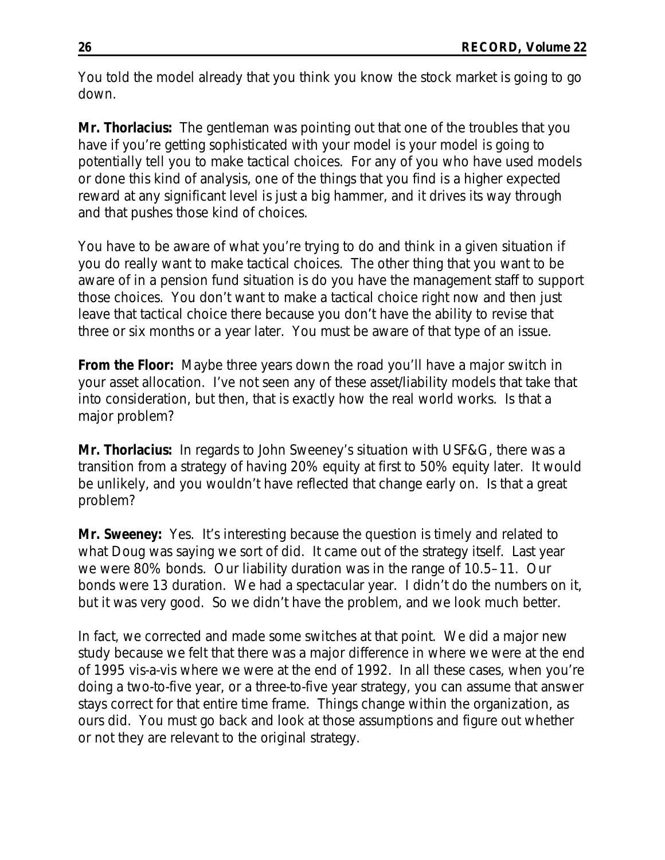You told the model already that you think you know the stock market is going to go down.

**Mr. Thorlacius:** The gentleman was pointing out that one of the troubles that you have if you're getting sophisticated with your model is your model is going to potentially tell you to make tactical choices. For any of you who have used models or done this kind of analysis, one of the things that you find is a higher expected reward at any significant level is just a big hammer, and it drives its way through and that pushes those kind of choices.

You have to be aware of what you're trying to do and think in a given situation if you do really want to make tactical choices. The other thing that you want to be aware of in a pension fund situation is do you have the management staff to support those choices. You don't want to make a tactical choice right now and then just leave that tactical choice there because you don't have the ability to revise that three or six months or a year later. You must be aware of that type of an issue.

**From the Floor:** Maybe three years down the road you'll have a major switch in your asset allocation. I've not seen any of these asset/liability models that take that into consideration, but then, that is exactly how the real world works. Is that a major problem?

**Mr. Thorlacius:** In regards to John Sweeney's situation with USF&G, there was a transition from a strategy of having 20% equity at first to 50% equity later. It would be unlikely, and you wouldn't have reflected that change early on. Is that a great problem?

**Mr. Sweeney:** Yes. It's interesting because the question is timely and related to what Doug was saying we sort of did. It came out of the strategy itself. Last year we were 80% bonds. Our liability duration was in the range of 10.5–11. Our bonds were 13 duration. We had a spectacular year. I didn't do the numbers on it, but it was very good. So we didn't have the problem, and we look much better.

In fact, we corrected and made some switches at that point. We did a major new study because we felt that there was a major difference in where we were at the end of 1995 vis-a-vis where we were at the end of 1992. In all these cases, when you're doing a two-to-five year, or a three-to-five year strategy, you can assume that answer stays correct for that entire time frame. Things change within the organization, as ours did. You must go back and look at those assumptions and figure out whether or not they are relevant to the original strategy.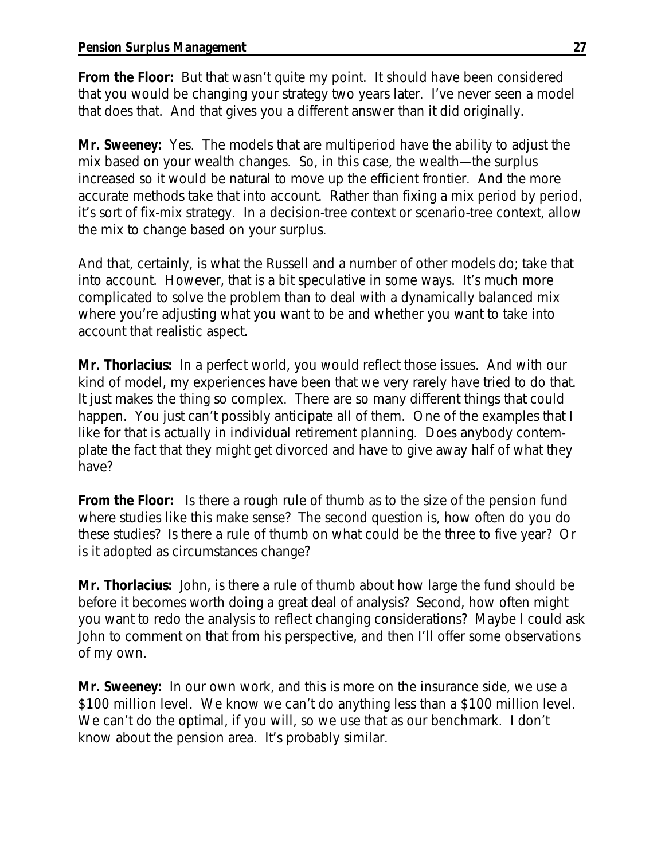**From the Floor:** But that wasn't quite my point. It should have been considered that you would be changing your strategy two years later. I've never seen a model that does that. And that gives you a different answer than it did originally.

**Mr. Sweeney:** Yes. The models that are multiperiod have the ability to adjust the mix based on your wealth changes. So, in this case, the wealth—the surplus increased so it would be natural to move up the efficient frontier. And the more accurate methods take that into account. Rather than fixing a mix period by period, it's sort of fix-mix strategy. In a decision-tree context or scenario-tree context, allow the mix to change based on your surplus.

And that, certainly, is what the Russell and a number of other models do; take that into account. However, that is a bit speculative in some ways. It's much more complicated to solve the problem than to deal with a dynamically balanced mix where you're adjusting what you want to be and whether you want to take into account that realistic aspect.

**Mr. Thorlacius:** In a perfect world, you would reflect those issues. And with our kind of model, my experiences have been that we very rarely have tried to do that. It just makes the thing so complex. There are so many different things that could happen. You just can't possibly anticipate all of them. One of the examples that I like for that is actually in individual retirement planning. Does anybody contemplate the fact that they might get divorced and have to give away half of what they have?

**From the Floor:** Is there a rough rule of thumb as to the size of the pension fund where studies like this make sense? The second question is, how often do you do these studies? Is there a rule of thumb on what could be the three to five year? Or is it adopted as circumstances change?

**Mr. Thorlacius:** John, is there a rule of thumb about how large the fund should be before it becomes worth doing a great deal of analysis? Second, how often might you want to redo the analysis to reflect changing considerations? Maybe I could ask John to comment on that from his perspective, and then I'll offer some observations of my own.

**Mr. Sweeney:** In our own work, and this is more on the insurance side, we use a \$100 million level. We know we can't do anything less than a \$100 million level. We can't do the optimal, if you will, so we use that as our benchmark. I don't know about the pension area. It's probably similar.